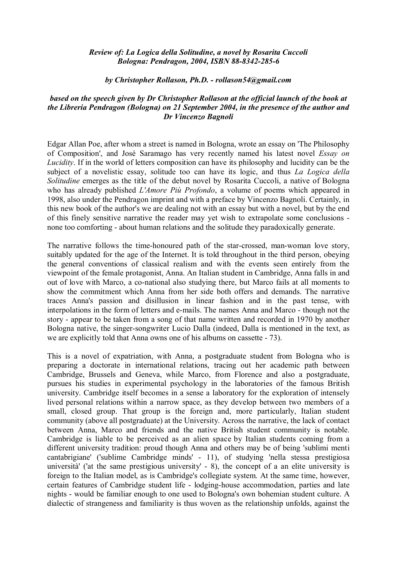## *Review of: La Logica della Solitudine, a novel by Rosarita Cuccoli Bologna: Pendragon, 2004, ISBN 88-8342-285-6*

## *by Christopher Rollason, Ph.D. - rollason54@gmail.com*

## *based on the speech given by Dr Christopher Rollason at the official launch of the book at the Libreria Pendragon (Bologna) on 21 September 2004, in the presence of the author and Dr Vincenzo Bagnoli*

Edgar Allan Poe, after whom a street is named in Bologna, wrote an essay on 'The Philosophy of Composition', and José Saramago has very recently named his latest novel *Essay on Lucidity*. If in the world of letters composition can have its philosophy and lucidity can be the subject of a novelistic essay, solitude too can have its logic, and thus *La Logica della Solitudine* emerges as the title of the debut novel by Rosarita Cuccoli, a native of Bologna who has already published *L'Amore Più Profondo*, a volume of poems which appeared in 1998, also under the Pendragon imprint and with a preface by Vincenzo Bagnoli. Certainly, in this new book of the author's we are dealing not with an essay but with a novel, but by the end of this finely sensitive narrative the reader may yet wish to extrapolate some conclusions none too comforting - about human relations and the solitude they paradoxically generate.

The narrative follows the time-honoured path of the star-crossed, man-woman love story, suitably updated for the age of the Internet. It is told throughout in the third person, obeying the general conventions of classical realism and with the events seen entirely from the viewpoint of the female protagonist, Anna. An Italian student in Cambridge, Anna falls in and out of love with Marco, a co-national also studying there, but Marco fails at all moments to show the commitment which Anna from her side both offers and demands. The narrative traces Anna's passion and disillusion in linear fashion and in the past tense, with interpolations in the form of letters and e-mails. The names Anna and Marco - though not the story - appear to be taken from a song of that name written and recorded in 1970 by another Bologna native, the singer-songwriter Lucio Dalla (indeed, Dalla is mentioned in the text, as we are explicitly told that Anna owns one of his albums on cassette - 73).

This is a novel of expatriation, with Anna, a postgraduate student from Bologna who is preparing a doctorate in international relations, tracing out her academic path between Cambridge, Brussels and Geneva, while Marco, from Florence and also a postgraduate, pursues his studies in experimental psychology in the laboratories of the famous British university. Cambridge itself becomes in a sense a laboratory for the exploration of intensely lived personal relations within a narrow space, as they develop between two members of a small, closed group. That group is the foreign and, more particularly, Italian student community (above all postgraduate) at the University. Across the narrative, the lack of contact between Anna, Marco and friends and the native British student community is notable. Cambridge is liable to be perceived as an alien space by Italian students coming from a different university tradition: proud though Anna and others may be of being 'sublimi menti cantabrigiane' ('sublime Cambridge minds' - 11), of studying 'nella stessa prestigiosa università' ('at the same prestigious university' - 8), the concept of a an elite university is foreign to the Italian model, as is Cambridge's collegiate system. At the same time, however, certain features of Cambridge student life - lodging-house accommodation, parties and late nights - would be familiar enough to one used to Bologna's own bohemian student culture. A dialectic of strangeness and familiarity is thus woven as the relationship unfolds, against the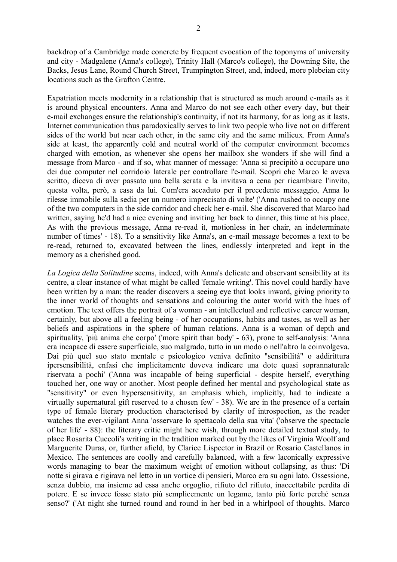backdrop of a Cambridge made concrete by frequent evocation of the toponyms of university and city - Madgalene (Anna's college), Trinity Hall (Marco's college), the Downing Site, the Backs, Jesus Lane, Round Church Street, Trumpington Street, and, indeed, more plebeian city locations such as the Grafton Centre.

Expatriation meets modernity in a relationship that is structured as much around e-mails as it is around physical encounters. Anna and Marco do not see each other every day, but their e-mail exchanges ensure the relationship's continuity, if not its harmony, for as long as it lasts. Internet communication thus paradoxically serves to link two people who live not on different sides of the world but near each other, in the same city and the same milieux. From Anna's side at least, the apparently cold and neutral world of the computer environment becomes charged with emotion, as whenever she opens her mailbox she wonders if she will find a message from Marco - and if so, what manner of message: 'Anna si precipitò a occupare uno dei due computer nel corridoio laterale per controllare l'e-mail. Scoprì che Marco le aveva scritto, diceva di aver passato una bella serata e la invitava a cena per ricambiare l'invito, questa volta, però, a casa da lui. Com'era accaduto per il precedente messaggio, Anna lo rilesse immobile sulla sedia per un numero imprecisato di volte' ('Anna rushed to occupy one of the two computers in the side corridor and check her e-mail. She discovered that Marco had written, saying he'd had a nice evening and inviting her back to dinner, this time at his place, As with the previous message, Anna re-read it, motionless in her chair, an indeterminate number of times' - 18). To a sensitivity like Anna's, an e-mail message becomes a text to be re-read, returned to, excavated between the lines, endlessly interpreted and kept in the memory as a cherished good.

*La Logica della Solitudine* seems, indeed, with Anna's delicate and observant sensibility at its centre, a clear instance of what might be called 'female writing'. This novel could hardly have been written by a man: the reader discovers a seeing eye that looks inward, giving priority to the inner world of thoughts and sensations and colouring the outer world with the hues of emotion. The text offers the portrait of a woman - an intellectual and reflective career woman, certainly, but above all a feeling being - of her occupations, habits and tastes, as well as her beliefs and aspirations in the sphere of human relations. Anna is a woman of depth and spirituality, 'più anima che corpo' ('more spirit than body' - 63), prone to self-analysis: 'Anna era incapace di essere superficiale, suo malgrado, tutto in un modo o nell'altro la coinvolgeva. Dai più quel suo stato mentale e psicologico veniva definito "sensibilità" o addirittura ipersensibilità, enfasi che implicitamente doveva indicare una dote quasi soprannaturale riservata a pochi' ('Anna was incapable of being superficial - despite herself, everything touched her, one way or another. Most people defined her mental and psychological state as "sensitivity" or even hypersensitivity, an emphasis which, implicitly, had to indicate a virtually supernatural gift reserved to a chosen few' - 38). We are in the presence of a certain type of female literary production characterised by clarity of introspection, as the reader watches the ever-vigilant Anna 'osservare lo spettacolo della sua vita' ('observe the spectacle of her life' - 88): the literary critic might here wish, through more detailed textual study, to place Rosarita Cuccoli's writing in the tradition marked out by the likes of Virginia Woolf and Marguerite Duras, or, further afield, by Clarice Lispector in Brazil or Rosario Castellanos in Mexico. The sentences are coolly and carefully balanced, with a few laconically expressive words managing to bear the maximum weight of emotion without collapsing, as thus: 'Di notte si girava e rigirava nel letto in un vortice di pensieri, Marco era su ogni lato. Ossessione, senza dubbio, ma insieme ad essa anche orgoglio, rifiuto del rifiuto, inaccettabile perdita di potere. E se invece fosse stato più semplicemente un legame, tanto più forte perché senza senso?' ('At night she turned round and round in her bed in a whirlpool of thoughts. Marco